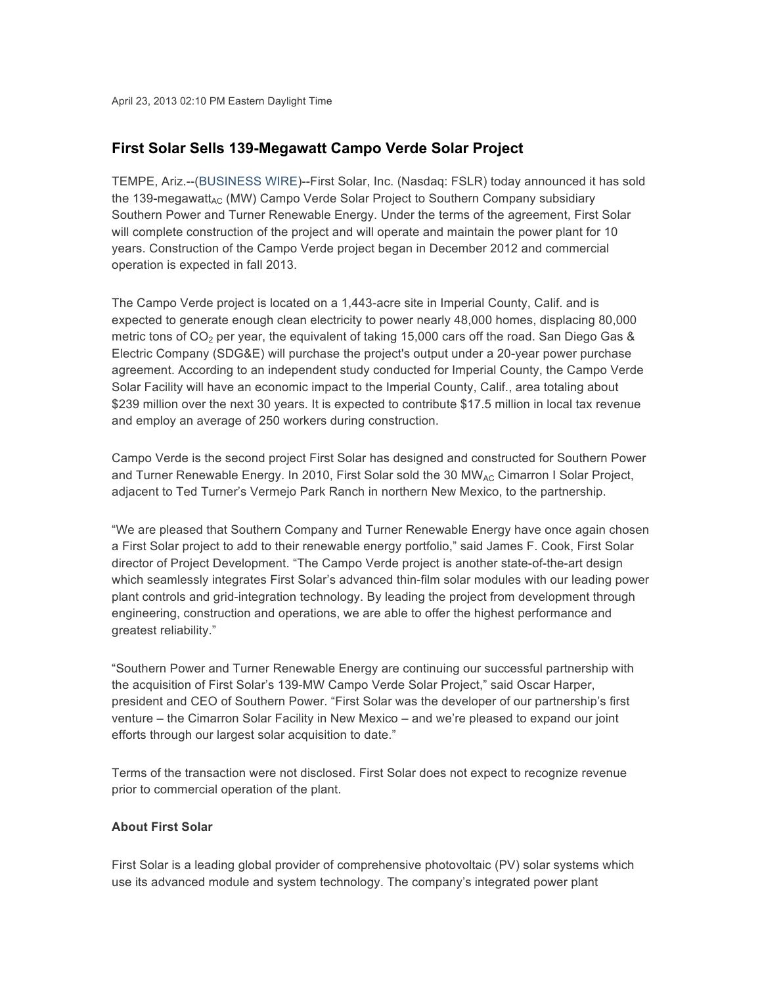## **First Solar Sells 139-Megawatt Campo Verde Solar Project**

TEMPE, Ariz.--(BUSINESS WIRE)--First Solar, Inc. (Nasdaq: FSLR) today announced it has sold the 139-megawatt<sub>AC</sub> (MW) Campo Verde Solar Project to Southern Company subsidiary Southern Power and Turner Renewable Energy. Under the terms of the agreement, First Solar will complete construction of the project and will operate and maintain the power plant for 10 years. Construction of the Campo Verde project began in December 2012 and commercial operation is expected in fall 2013.

The Campo Verde project is located on a 1,443-acre site in Imperial County, Calif. and is expected to generate enough clean electricity to power nearly 48,000 homes, displacing 80,000 metric tons of  $CO<sub>2</sub>$  per year, the equivalent of taking 15,000 cars off the road. San Diego Gas & Electric Company (SDG&E) will purchase the project's output under a 20-year power purchase agreement. According to an independent study conducted for Imperial County, the Campo Verde Solar Facility will have an economic impact to the Imperial County, Calif., area totaling about \$239 million over the next 30 years. It is expected to contribute \$17.5 million in local tax revenue and employ an average of 250 workers during construction.

Campo Verde is the second project First Solar has designed and constructed for Southern Power and Turner Renewable Energy. In 2010, First Solar sold the 30 MW<sub>AC</sub> Cimarron I Solar Project, adjacent to Ted Turner's Vermejo Park Ranch in northern New Mexico, to the partnership.

"We are pleased that Southern Company and Turner Renewable Energy have once again chosen a First Solar project to add to their renewable energy portfolio," said James F. Cook, First Solar director of Project Development. "The Campo Verde project is another state-of-the-art design which seamlessly integrates First Solar's advanced thin-film solar modules with our leading power plant controls and grid-integration technology. By leading the project from development through engineering, construction and operations, we are able to offer the highest performance and greatest reliability."

"Southern Power and Turner Renewable Energy are continuing our successful partnership with the acquisition of First Solar's 139-MW Campo Verde Solar Project," said Oscar Harper, president and CEO of Southern Power. "First Solar was the developer of our partnership's first venture – the Cimarron Solar Facility in New Mexico – and we're pleased to expand our joint efforts through our largest solar acquisition to date."

Terms of the transaction were not disclosed. First Solar does not expect to recognize revenue prior to commercial operation of the plant.

## **About First Solar**

First Solar is a leading global provider of comprehensive photovoltaic (PV) solar systems which use its advanced module and system technology. The company's integrated power plant